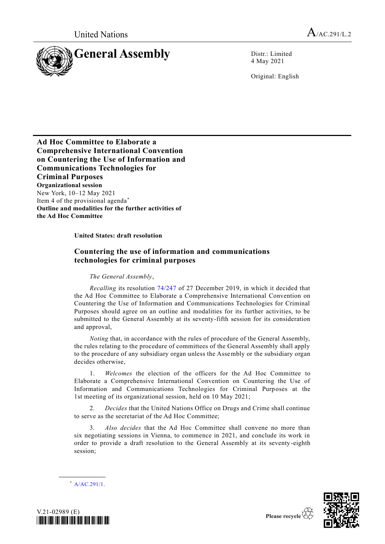

4 May 2021

Original: English

**Ad Hoc Committee to Elaborate a Comprehensive International Convention on Countering the Use of Information and Communications Technologies for Criminal Purposes Organizational session** New York, 10–12 May 2021 Item 4 of the provisional agenda\* **Outline and modalities for the further activities of the Ad Hoc Committee**

## **United States: draft resolution**

## **Countering the use of information and communications technologies for criminal purposes**

*The General Assembly*,

*Recalling* its resolution [74/247](http://undocs.org/A/RES/74/247) of 27 December 2019, in which it decided that the Ad Hoc Committee to Elaborate a Comprehensive International Convention on Countering the Use of Information and Communications Technologies for Criminal Purposes should agree on an outline and modalities for its further activities, to be submitted to the General Assembly at its seventy-fifth session for its consideration and approval,

*Noting* that, in accordance with the rules of procedure of the General Assembly, the rules relating to the procedure of committees of the General Assembly shall apply to the procedure of any subsidiary organ unless the Assembly or the subsidiary organ decides otherwise,

1. *Welcomes* the election of the officers for the Ad Hoc Committee to Elaborate a Comprehensive International Convention on Countering the Use of Information and Communications Technologies for Criminal Purposes at the 1st meeting of its organizational session, held on 10 May 2021;

2. *Decides* that the United Nations Office on Drugs and Crime shall continue to serve as the secretariat of the Ad Hoc Committee;

3. *Also decides* that the Ad Hoc Committee shall convene no more than six negotiating sessions in Vienna, to commence in 2021, and conclude its work in order to provide a draft resolution to the General Assembly at its seventy -eighth session;

 $*$  [A/AC.291/1.](http://undocs.org/A/AC.291/1)

**\_\_\_\_\_\_\_\_\_\_\_\_\_\_\_\_\_\_**